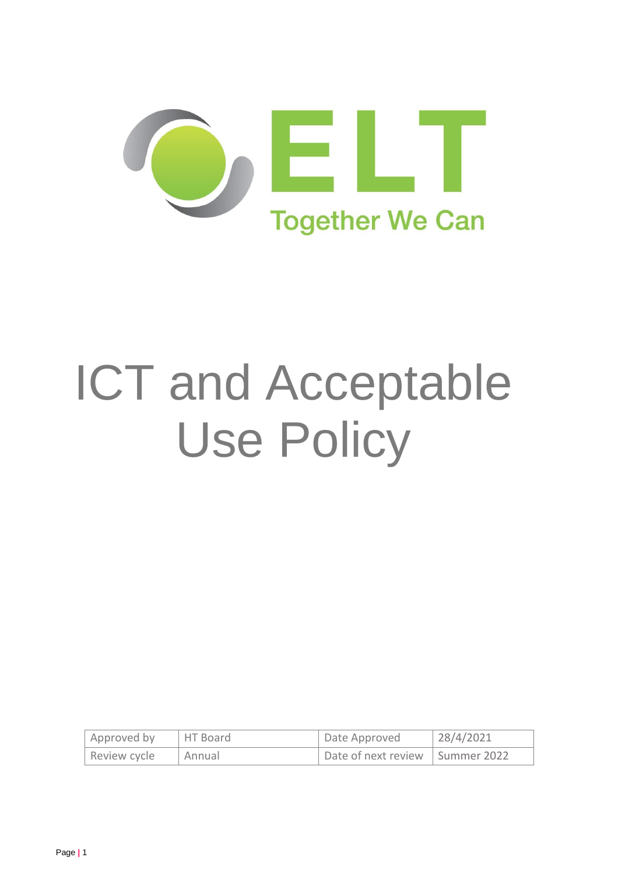

# ICT and Acceptable Use Policy

| Approved by  | <b>HT Board</b> | Date Approved                     | 128/4/2021 |
|--------------|-----------------|-----------------------------------|------------|
| Review cycle | Annual          | Date of next review   Summer 2022 |            |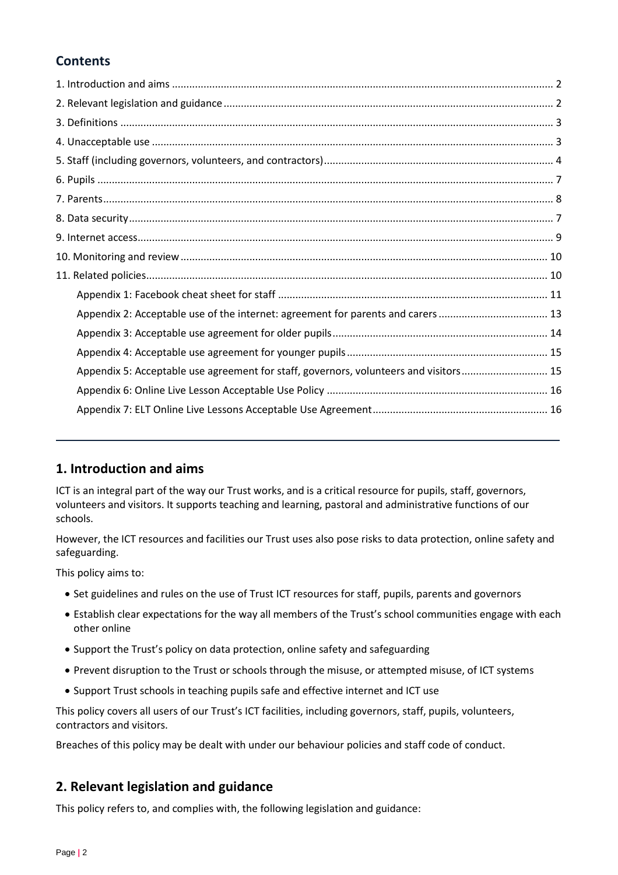# **Contents**

| Appendix 2: Acceptable use of the internet: agreement for parents and carers  13      |
|---------------------------------------------------------------------------------------|
|                                                                                       |
|                                                                                       |
| Appendix 5: Acceptable use agreement for staff, governors, volunteers and visitors 15 |
|                                                                                       |
|                                                                                       |
|                                                                                       |

# <span id="page-1-0"></span>**1. Introduction and aims**

ICT is an integral part of the way our Trust works, and is a critical resource for pupils, staff, governors, volunteers and visitors. It supports teaching and learning, pastoral and administrative functions of our schools.

However, the ICT resources and facilities our Trust uses also pose risks to data protection, online safety and safeguarding.

This policy aims to:

- Set guidelines and rules on the use of Trust ICT resources for staff, pupils, parents and governors
- Establish clear expectations for the way all members of the Trust's school communities engage with each other online
- Support the Trust's policy on data protection, online safety and safeguarding
- Prevent disruption to the Trust or schools through the misuse, or attempted misuse, of ICT systems
- Support Trust schools in teaching pupils safe and effective internet and ICT use

This policy covers all users of our Trust's ICT facilities, including governors, staff, pupils, volunteers, contractors and visitors.

Breaches of this policy may be dealt with under our behaviour policies and staff code of conduct.

# <span id="page-1-1"></span>**2. Relevant legislation and guidance**

This policy refers to, and complies with, the following legislation and guidance: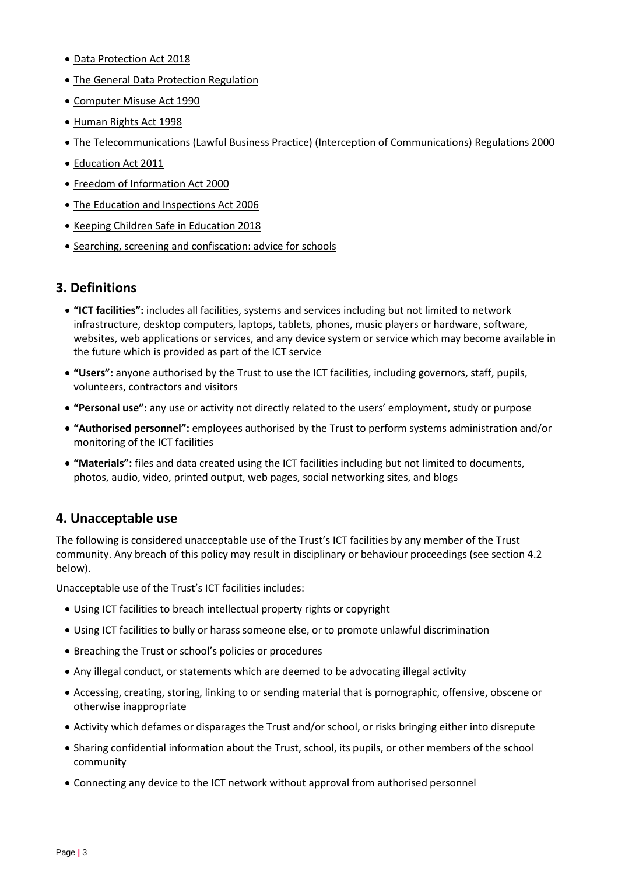- [Data Protection Act 2018](http://www.legislation.gov.uk/ukpga/2018/12/contents/enacted)
- [The General Data Protection Regulation](https://eur-lex.europa.eu/legal-content/EN/TXT/HTML/?uri=CELEX:32016R0679)
- [Computer Misuse Act 1990](https://www.legislation.gov.uk/ukpga/1990/18/contents)
- [Human Rights Act 1998](https://www.legislation.gov.uk/ukpga/1998/42/contents)
- [The Telecommunications \(Lawful Business Practice\) \(Interception of Communications\) Regulations 2000](https://www.legislation.gov.uk/uksi/2000/2699/regulation/3/made)
- [Education Act 2011](http://www.legislation.gov.uk/ukpga/2011/21/section/2/enacted)
- [Freedom of Information Act 2000](https://www.legislation.gov.uk/ukpga/2000/36/contents)
- [The Education and Inspections Act 2006](https://www.legislation.gov.uk/ukpga/2006/40/part/7/chapter/1)
- [Keeping Children Safe in Education 2018](https://www.gov.uk/government/publications/keeping-children-safe-in-education--2)
- [Searching, screening and confiscation: advice for schools](https://www.gov.uk/government/publications/searching-screening-and-confiscation)

# <span id="page-2-0"></span>**3. Definitions**

- **"ICT facilities":** includes all facilities, systems and services including but not limited to network infrastructure, desktop computers, laptops, tablets, phones, music players or hardware, software, websites, web applications or services, and any device system or service which may become available in the future which is provided as part of the ICT service
- **"Users":** anyone authorised by the Trust to use the ICT facilities, including governors, staff, pupils, volunteers, contractors and visitors
- **"Personal use":** any use or activity not directly related to the users' employment, study or purpose
- **"Authorised personnel":** employees authorised by the Trust to perform systems administration and/or monitoring of the ICT facilities
- **"Materials":** files and data created using the ICT facilities including but not limited to documents, photos, audio, video, printed output, web pages, social networking sites, and blogs

# <span id="page-2-1"></span>**4. Unacceptable use**

The following is considered unacceptable use of the Trust's ICT facilities by any member of the Trust community. Any breach of this policy may result in disciplinary or behaviour proceedings (see section 4.2 below).

Unacceptable use of the Trust's ICT facilities includes:

- Using ICT facilities to breach intellectual property rights or copyright
- Using ICT facilities to bully or harass someone else, or to promote unlawful discrimination
- Breaching the Trust or school's policies or procedures
- Any illegal conduct, or statements which are deemed to be advocating illegal activity
- Accessing, creating, storing, linking to or sending material that is pornographic, offensive, obscene or otherwise inappropriate
- Activity which defames or disparages the Trust and/or school, or risks bringing either into disrepute
- Sharing confidential information about the Trust, school, its pupils, or other members of the school community
- Connecting any device to the ICT network without approval from authorised personnel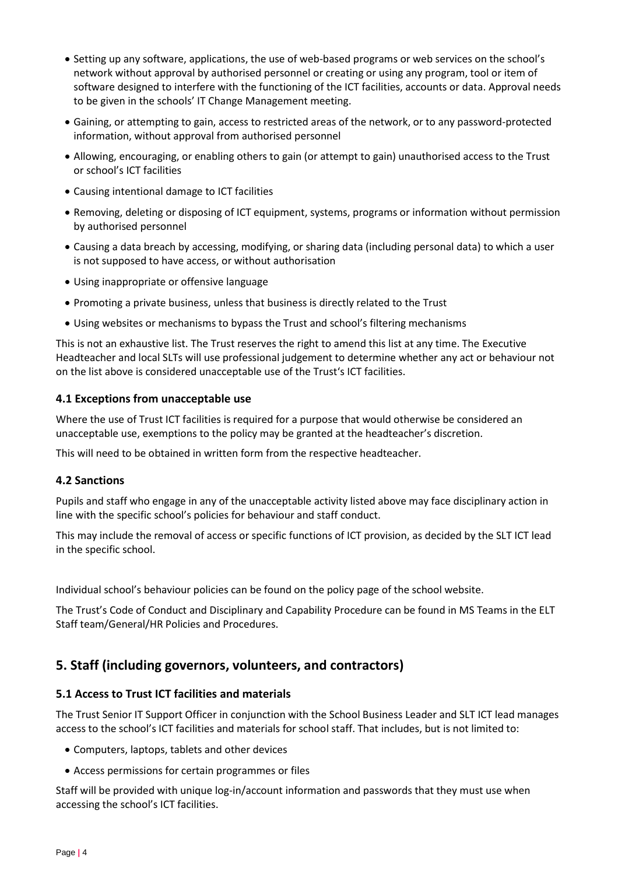- Setting up any software, applications, the use of web-based programs or web services on the school's network without approval by authorised personnel or creating or using any program, tool or item of software designed to interfere with the functioning of the ICT facilities, accounts or data. Approval needs to be given in the schools' IT Change Management meeting.
- Gaining, or attempting to gain, access to restricted areas of the network, or to any password-protected information, without approval from authorised personnel
- Allowing, encouraging, or enabling others to gain (or attempt to gain) unauthorised access to the Trust or school's ICT facilities
- Causing intentional damage to ICT facilities
- Removing, deleting or disposing of ICT equipment, systems, programs or information without permission by authorised personnel
- Causing a data breach by accessing, modifying, or sharing data (including personal data) to which a user is not supposed to have access, or without authorisation
- Using inappropriate or offensive language
- Promoting a private business, unless that business is directly related to the Trust
- Using websites or mechanisms to bypass the Trust and school's filtering mechanisms

This is not an exhaustive list. The Trust reserves the right to amend this list at any time. The Executive Headteacher and local SLTs will use professional judgement to determine whether any act or behaviour not on the list above is considered unacceptable use of the Trust's ICT facilities.

#### **4.1 Exceptions from unacceptable use**

Where the use of Trust ICT facilities is required for a purpose that would otherwise be considered an unacceptable use, exemptions to the policy may be granted at the headteacher's discretion.

This will need to be obtained in written form from the respective headteacher.

## **4.2 Sanctions**

Pupils and staff who engage in any of the unacceptable activity listed above may face disciplinary action in line with the specific school's policies for behaviour and staff conduct.

This may include the removal of access or specific functions of ICT provision, as decided by the SLT ICT lead in the specific school.

Individual school's behaviour policies can be found on the policy page of the school website.

The Trust's Code of Conduct and Disciplinary and Capability Procedure can be found in MS Teams in the ELT Staff team/General/HR Policies and Procedures.

# <span id="page-3-0"></span>**5. Staff (including governors, volunteers, and contractors)**

## **5.1 Access to Trust ICT facilities and materials**

The Trust Senior IT Support Officer in conjunction with the School Business Leader and SLT ICT lead manages access to the school's ICT facilities and materials for school staff. That includes, but is not limited to:

- Computers, laptops, tablets and other devices
- Access permissions for certain programmes or files

Staff will be provided with unique log-in/account information and passwords that they must use when accessing the school's ICT facilities.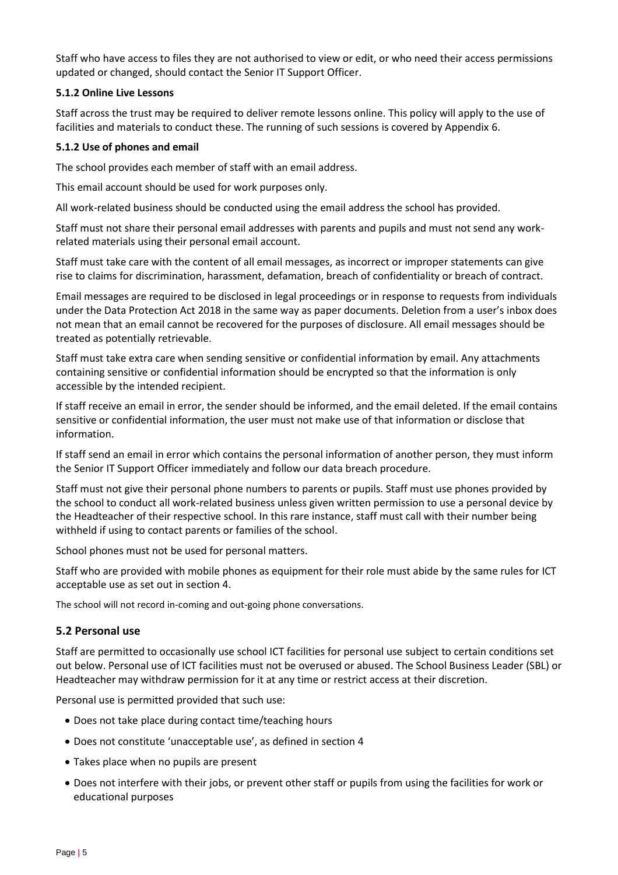Staff who have access to files they are not authorised to view or edit, or who need their access permissions updated or changed, should contact the Senior IT Support Officer.

#### **5.1.2 Online Live Lessons**

Staff across the trust may be required to deliver remote lessons online. This policy will apply to the use of facilities and materials to conduct these. The running of such sessions is covered by Appendix 6.

#### **5.1.2 Use of phones and email**

The school provides each member of staff with an email address.

This email account should be used for work purposes only.

All work-related business should be conducted using the email address the school has provided.

Staff must not share their personal email addresses with parents and pupils and must not send any workrelated materials using their personal email account.

Staff must take care with the content of all email messages, as incorrect or improper statements can give rise to claims for discrimination, harassment, defamation, breach of confidentiality or breach of contract.

Email messages are required to be disclosed in legal proceedings or in response to requests from individuals under the Data Protection Act 2018 in the same way as paper documents. Deletion from a user's inbox does not mean that an email cannot be recovered for the purposes of disclosure. All email messages should be treated as potentially retrievable.

Staff must take extra care when sending sensitive or confidential information by email. Any attachments containing sensitive or confidential information should be encrypted so that the information is only accessible by the intended recipient.

If staff receive an email in error, the sender should be informed, and the email deleted. If the email contains sensitive or confidential information, the user must not make use of that information or disclose that information.

If staff send an email in error which contains the personal information of another person, they must inform the Senior IT Support Officer immediately and follow our data breach procedure.

Staff must not give their personal phone numbers to parents or pupils. Staff must use phones provided by the school to conduct all work-related business unless given written permission to use a personal device by the Headteacher of their respective school. In this rare instance, staff must call with their number being withheld if using to contact parents or families of the school.

School phones must not be used for personal matters.

Staff who are provided with mobile phones as equipment for their role must abide by the same rules for ICT acceptable use as set out in section 4.

The school will not record in-coming and out-going phone conversations.

## **5.2 Personal use**

Staff are permitted to occasionally use school ICT facilities for personal use subject to certain conditions set out below. Personal use of ICT facilities must not be overused or abused. The School Business Leader (SBL) or Headteacher may withdraw permission for it at any time or restrict access at their discretion.

Personal use is permitted provided that such use:

- Does not take place during contact time/teaching hours
- Does not constitute 'unacceptable use', as defined in section 4
- Takes place when no pupils are present
- Does not interfere with their jobs, or prevent other staff or pupils from using the facilities for work or educational purposes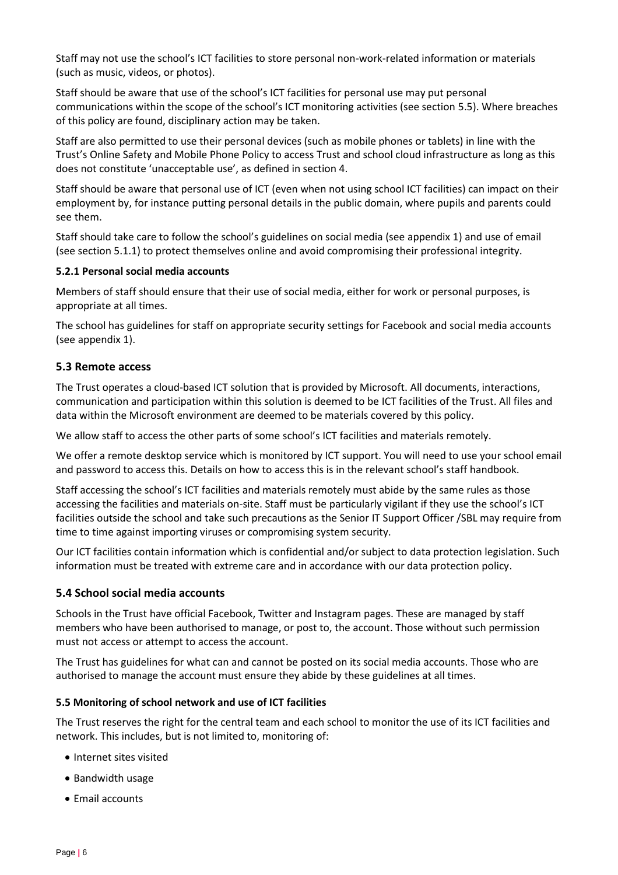Staff may not use the school's ICT facilities to store personal non-work-related information or materials (such as music, videos, or photos).

Staff should be aware that use of the school's ICT facilities for personal use may put personal communications within the scope of the school's ICT monitoring activities (see section 5.5). Where breaches of this policy are found, disciplinary action may be taken.

Staff are also permitted to use their personal devices (such as mobile phones or tablets) in line with the Trust's Online Safety and Mobile Phone Policy to access Trust and school cloud infrastructure as long as this does not constitute 'unacceptable use', as defined in section 4.

Staff should be aware that personal use of ICT (even when not using school ICT facilities) can impact on their employment by, for instance putting personal details in the public domain, where pupils and parents could see them.

Staff should take care to follow the school's guidelines on social media (see appendix 1) and use of email (see section 5.1.1) to protect themselves online and avoid compromising their professional integrity.

#### **5.2.1 Personal social media accounts**

Members of staff should ensure that their use of social media, either for work or personal purposes, is appropriate at all times.

The school has guidelines for staff on appropriate security settings for Facebook and social media accounts (see appendix 1).

#### **5.3 Remote access**

The Trust operates a cloud-based ICT solution that is provided by Microsoft. All documents, interactions, communication and participation within this solution is deemed to be ICT facilities of the Trust. All files and data within the Microsoft environment are deemed to be materials covered by this policy.

We allow staff to access the other parts of some school's ICT facilities and materials remotely.

We offer a remote desktop service which is monitored by ICT support. You will need to use your school email and password to access this. Details on how to access this is in the relevant school's staff handbook.

Staff accessing the school's ICT facilities and materials remotely must abide by the same rules as those accessing the facilities and materials on-site. Staff must be particularly vigilant if they use the school's ICT facilities outside the school and take such precautions as the Senior IT Support Officer /SBL may require from time to time against importing viruses or compromising system security.

Our ICT facilities contain information which is confidential and/or subject to data protection legislation. Such information must be treated with extreme care and in accordance with our data protection policy.

## **5.4 School social media accounts**

Schools in the Trust have official Facebook, Twitter and Instagram pages. These are managed by staff members who have been authorised to manage, or post to, the account. Those without such permission must not access or attempt to access the account.

The Trust has guidelines for what can and cannot be posted on its social media accounts. Those who are authorised to manage the account must ensure they abide by these guidelines at all times.

#### **5.5 Monitoring of school network and use of ICT facilities**

The Trust reserves the right for the central team and each school to monitor the use of its ICT facilities and network. This includes, but is not limited to, monitoring of:

- Internet sites visited
- Bandwidth usage
- Email accounts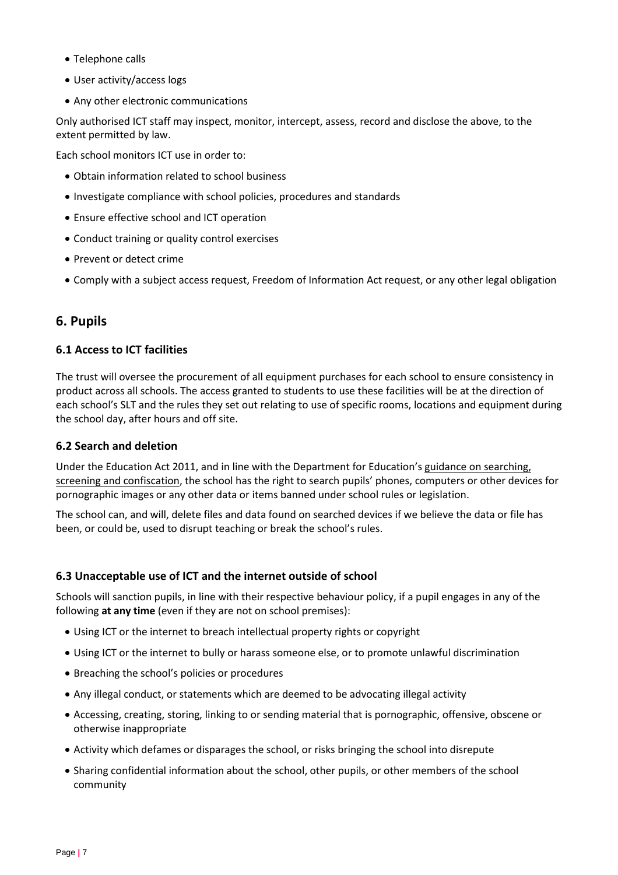- Telephone calls
- User activity/access logs
- Any other electronic communications

Only authorised ICT staff may inspect, monitor, intercept, assess, record and disclose the above, to the extent permitted by law.

Each school monitors ICT use in order to:

- Obtain information related to school business
- Investigate compliance with school policies, procedures and standards
- Ensure effective school and ICT operation
- Conduct training or quality control exercises
- Prevent or detect crime
- Comply with a subject access request, Freedom of Information Act request, or any other legal obligation

# <span id="page-6-0"></span>**6. Pupils**

## **6.1 Access to ICT facilities**

The trust will oversee the procurement of all equipment purchases for each school to ensure consistency in product across all schools. The access granted to students to use these facilities will be at the direction of each school's SLT and the rules they set out relating to use of specific rooms, locations and equipment during the school day, after hours and off site.

#### **6.2 Search and deletion**

Under the Education Act 2011, and in line with the Department for Education's guidance on searching, [screening and confiscation](https://www.gov.uk/government/publications/searching-screening-and-confiscation), the school has the right to search pupils' phones, computers or other devices for pornographic images or any other data or items banned under school rules or legislation.

The school can, and will, delete files and data found on searched devices if we believe the data or file has been, or could be, used to disrupt teaching or break the school's rules.

## **6.3 Unacceptable use of ICT and the internet outside of school**

Schools will sanction pupils, in line with their respective behaviour policy, if a pupil engages in any of the following **at any time** (even if they are not on school premises):

- Using ICT or the internet to breach intellectual property rights or copyright
- Using ICT or the internet to bully or harass someone else, or to promote unlawful discrimination
- Breaching the school's policies or procedures
- Any illegal conduct, or statements which are deemed to be advocating illegal activity
- Accessing, creating, storing, linking to or sending material that is pornographic, offensive, obscene or otherwise inappropriate
- Activity which defames or disparages the school, or risks bringing the school into disrepute
- Sharing confidential information about the school, other pupils, or other members of the school community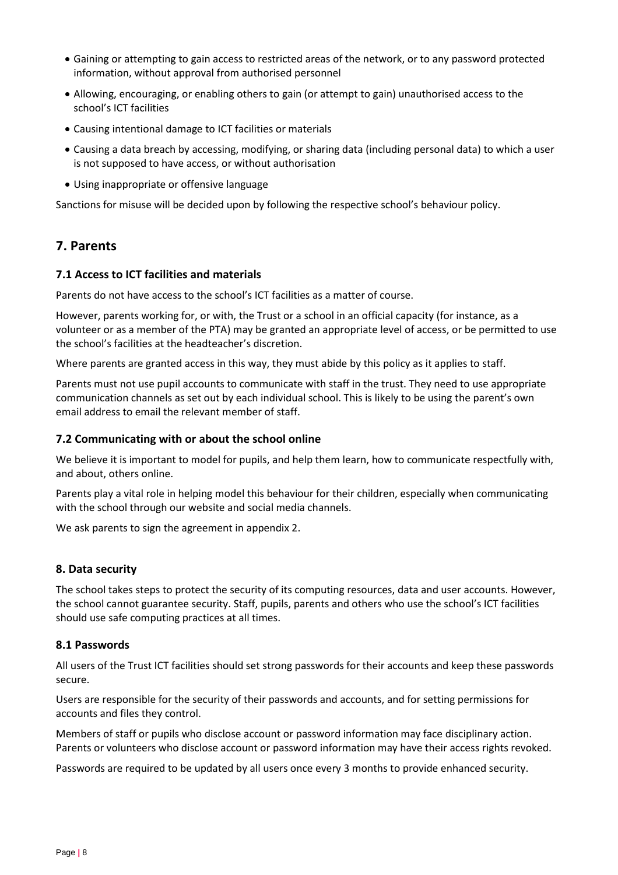- Gaining or attempting to gain access to restricted areas of the network, or to any password protected information, without approval from authorised personnel
- Allowing, encouraging, or enabling others to gain (or attempt to gain) unauthorised access to the school's ICT facilities
- Causing intentional damage to ICT facilities or materials
- Causing a data breach by accessing, modifying, or sharing data (including personal data) to which a user is not supposed to have access, or without authorisation
- Using inappropriate or offensive language

Sanctions for misuse will be decided upon by following the respective school's behaviour policy.

# <span id="page-7-0"></span>**7. Parents**

#### **7.1 Access to ICT facilities and materials**

Parents do not have access to the school's ICT facilities as a matter of course.

However, parents working for, or with, the Trust or a school in an official capacity (for instance, as a volunteer or as a member of the PTA) may be granted an appropriate level of access, or be permitted to use the school's facilities at the headteacher's discretion.

Where parents are granted access in this way, they must abide by this policy as it applies to staff.

Parents must not use pupil accounts to communicate with staff in the trust. They need to use appropriate communication channels as set out by each individual school. This is likely to be using the parent's own email address to email the relevant member of staff.

#### **7.2 Communicating with or about the school online**

We believe it is important to model for pupils, and help them learn, how to communicate respectfully with, and about, others online.

Parents play a vital role in helping model this behaviour for their children, especially when communicating with the school through our website and social media channels.

We ask parents to sign the agreement in appendix 2.

#### <span id="page-7-1"></span>**8. Data security**

The school takes steps to protect the security of its computing resources, data and user accounts. However, the school cannot guarantee security. Staff, pupils, parents and others who use the school's ICT facilities should use safe computing practices at all times.

#### **8.1 Passwords**

All users of the Trust ICT facilities should set strong passwords for their accounts and keep these passwords secure.

Users are responsible for the security of their passwords and accounts, and for setting permissions for accounts and files they control.

Members of staff or pupils who disclose account or password information may face disciplinary action. Parents or volunteers who disclose account or password information may have their access rights revoked.

Passwords are required to be updated by all users once every 3 months to provide enhanced security.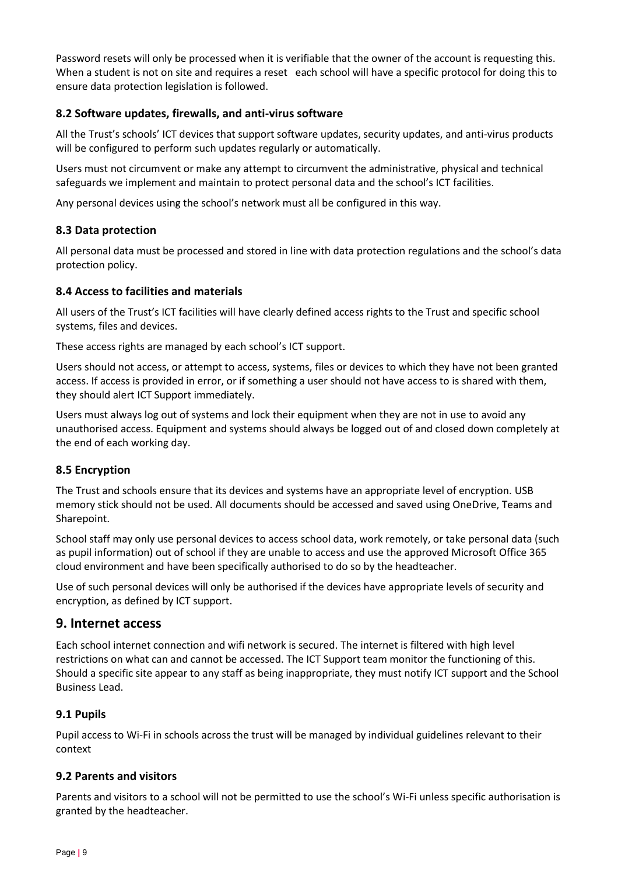Password resets will only be processed when it is verifiable that the owner of the account is requesting this. When a student is not on site and requires a reset each school will have a specific protocol for doing this to ensure data protection legislation is followed.

# **8.2 Software updates, firewalls, and anti-virus software**

All the Trust's schools' ICT devices that support software updates, security updates, and anti-virus products will be configured to perform such updates regularly or automatically.

Users must not circumvent or make any attempt to circumvent the administrative, physical and technical safeguards we implement and maintain to protect personal data and the school's ICT facilities.

Any personal devices using the school's network must all be configured in this way.

# **8.3 Data protection**

All personal data must be processed and stored in line with data protection regulations and the school's data protection policy.

## **8.4 Access to facilities and materials**

All users of the Trust's ICT facilities will have clearly defined access rights to the Trust and specific school systems, files and devices.

These access rights are managed by each school's ICT support.

Users should not access, or attempt to access, systems, files or devices to which they have not been granted access. If access is provided in error, or if something a user should not have access to is shared with them, they should alert ICT Support immediately.

Users must always log out of systems and lock their equipment when they are not in use to avoid any unauthorised access. Equipment and systems should always be logged out of and closed down completely at the end of each working day.

## **8.5 Encryption**

The Trust and schools ensure that its devices and systems have an appropriate level of encryption. USB memory stick should not be used. All documents should be accessed and saved using OneDrive, Teams and Sharepoint.

School staff may only use personal devices to access school data, work remotely, or take personal data (such as pupil information) out of school if they are unable to access and use the approved Microsoft Office 365 cloud environment and have been specifically authorised to do so by the headteacher.

Use of such personal devices will only be authorised if the devices have appropriate levels of security and encryption, as defined by ICT support.

# <span id="page-8-0"></span>**9. Internet access**

Each school internet connection and wifi network is secured. The internet is filtered with high level restrictions on what can and cannot be accessed. The ICT Support team monitor the functioning of this. Should a specific site appear to any staff as being inappropriate, they must notify ICT support and the School Business Lead.

## **9.1 Pupils**

Pupil access to Wi-Fi in schools across the trust will be managed by individual guidelines relevant to their context

## **9.2 Parents and visitors**

Parents and visitors to a school will not be permitted to use the school's Wi-Fi unless specific authorisation is granted by the headteacher.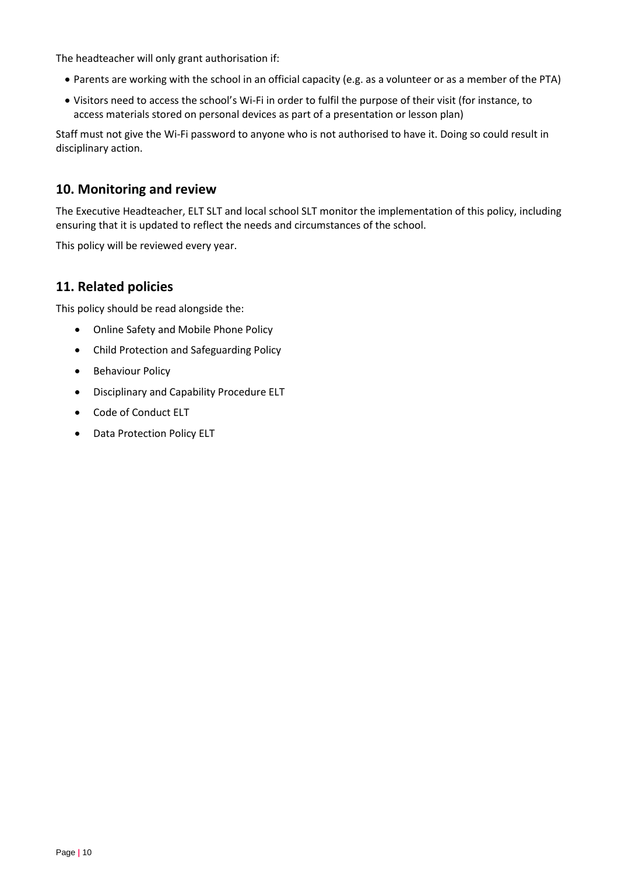The headteacher will only grant authorisation if:

- Parents are working with the school in an official capacity (e.g. as a volunteer or as a member of the PTA)
- Visitors need to access the school's Wi-Fi in order to fulfil the purpose of their visit (for instance, to access materials stored on personal devices as part of a presentation or lesson plan)

Staff must not give the Wi-Fi password to anyone who is not authorised to have it. Doing so could result in disciplinary action.

# <span id="page-9-0"></span>**10. Monitoring and review**

The Executive Headteacher, ELT SLT and local school SLT monitor the implementation of this policy, including ensuring that it is updated to reflect the needs and circumstances of the school.

This policy will be reviewed every year.

# <span id="page-9-1"></span>**11. Related policies**

This policy should be read alongside the:

- Online Safety and Mobile Phone Policy
- Child Protection and Safeguarding Policy
- Behaviour Policy
- Disciplinary and Capability Procedure ELT
- Code of Conduct ELT
- Data Protection Policy ELT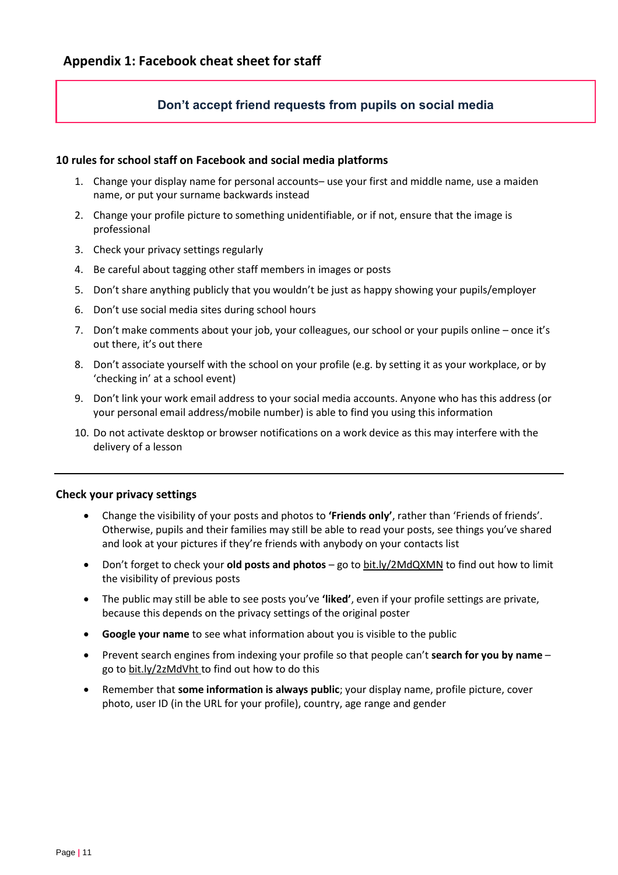# <span id="page-10-0"></span>**Don't accept friend requests from pupils on social media**

#### **10 rules for school staff on Facebook and social media platforms**

- 1. Change your display name for personal accounts– use your first and middle name, use a maiden name, or put your surname backwards instead
- 2. Change your profile picture to something unidentifiable, or if not, ensure that the image is professional
- 3. Check your privacy settings regularly
- 4. Be careful about tagging other staff members in images or posts
- 5. Don't share anything publicly that you wouldn't be just as happy showing your pupils/employer
- 6. Don't use social media sites during school hours
- 7. Don't make comments about your job, your colleagues, our school or your pupils online once it's out there, it's out there
- 8. Don't associate yourself with the school on your profile (e.g. by setting it as your workplace, or by 'checking in' at a school event)
- 9. Don't link your work email address to your social media accounts. Anyone who has this address (or your personal email address/mobile number) is able to find you using this information
- 10. Do not activate desktop or browser notifications on a work device as this may interfere with the delivery of a lesson

## **Check your privacy settings**

- Change the visibility of your posts and photos to **'Friends only'**, rather than 'Friends of friends'. Otherwise, pupils and their families may still be able to read your posts, see things you've shared and look at your pictures if they're friends with anybody on your contacts list
- Don't forget to check your **old posts and photos** go t[o bit.ly/2MdQXMN](https://www.facebook.com/help/iphone-app/236898969688346?helpref=uf_permalink) to find out how to limit the visibility of previous posts
- The public may still be able to see posts you've **'liked'**, even if your profile settings are private, because this depends on the privacy settings of the original poster
- **Google your name** to see what information about you is visible to the public
- Prevent search engines from indexing your profile so that people can't **search for you by name** go to [bit.ly/2zMdVht t](https://www.facebook.com/help/124518907626945?helpref=faq_content)o find out how to do this
- Remember that **some information is always public**; your display name, profile picture, cover photo, user ID (in the URL for your profile), country, age range and gender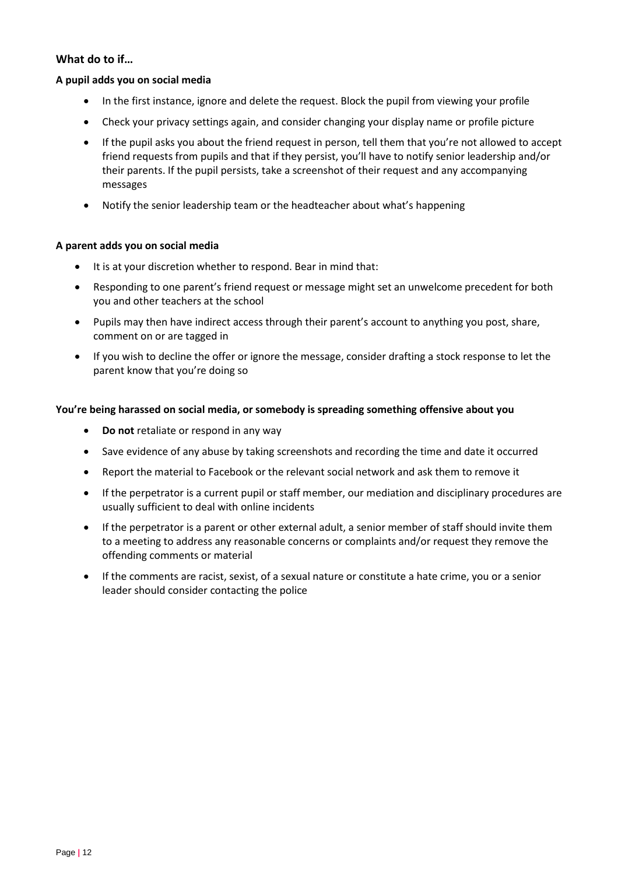## **What do to if…**

#### **A pupil adds you on social media**

- In the first instance, ignore and delete the request. Block the pupil from viewing your profile
- Check your privacy settings again, and consider changing your display name or profile picture
- If the pupil asks you about the friend request in person, tell them that you're not allowed to accept friend requests from pupils and that if they persist, you'll have to notify senior leadership and/or their parents. If the pupil persists, take a screenshot of their request and any accompanying messages
- Notify the senior leadership team or the headteacher about what's happening

#### **A parent adds you on social media**

- It is at your discretion whether to respond. Bear in mind that:
- Responding to one parent's friend request or message might set an unwelcome precedent for both you and other teachers at the school
- Pupils may then have indirect access through their parent's account to anything you post, share, comment on or are tagged in
- If you wish to decline the offer or ignore the message, consider drafting a stock response to let the parent know that you're doing so

#### **You're being harassed on social media, or somebody is spreading something offensive about you**

- **Do not** retaliate or respond in any way
- Save evidence of any abuse by taking screenshots and recording the time and date it occurred
- Report the material to Facebook or the relevant social network and ask them to remove it
- If the perpetrator is a current pupil or staff member, our mediation and disciplinary procedures are usually sufficient to deal with online incidents
- If the perpetrator is a parent or other external adult, a senior member of staff should invite them to a meeting to address any reasonable concerns or complaints and/or request they remove the offending comments or material
- If the comments are racist, sexist, of a sexual nature or constitute a hate crime, you or a senior leader should consider contacting the police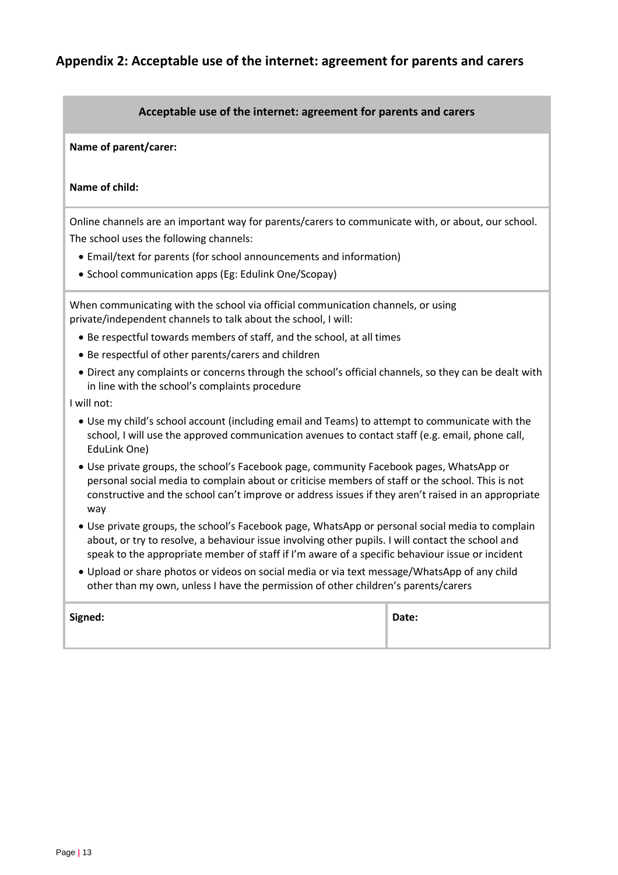# **Appendix 2: Acceptable use of the internet: agreement for parents and carers**

#### <span id="page-12-0"></span>**Acceptable use of the internet: agreement for parents and carers**

**Name of parent/carer:** 

#### **Name of child:**

Online channels are an important way for parents/carers to communicate with, or about, our school. The school uses the following channels:

- Email/text for parents (for school announcements and information)
- School communication apps (Eg: Edulink One/Scopay)

When communicating with the school via official communication channels, or using private/independent channels to talk about the school, I will:

- Be respectful towards members of staff, and the school, at all times
- Be respectful of other parents/carers and children
- Direct any complaints or concerns through the school's official channels, so they can be dealt with in line with the school's complaints procedure

I will not:

- Use my child's school account (including email and Teams) to attempt to communicate with the school, I will use the approved communication avenues to contact staff (e.g. email, phone call, EduLink One)
- Use private groups, the school's Facebook page, community Facebook pages, WhatsApp or personal social media to complain about or criticise members of staff or the school. This is not constructive and the school can't improve or address issues if they aren't raised in an appropriate way
- Use private groups, the school's Facebook page, WhatsApp or personal social media to complain about, or try to resolve, a behaviour issue involving other pupils. I will contact the school and speak to the appropriate member of staff if I'm aware of a specific behaviour issue or incident
- Upload or share photos or videos on social media or via text message/WhatsApp of any child other than my own, unless I have the permission of other children's parents/carers

| Signed: | Date: |
|---------|-------|
|         |       |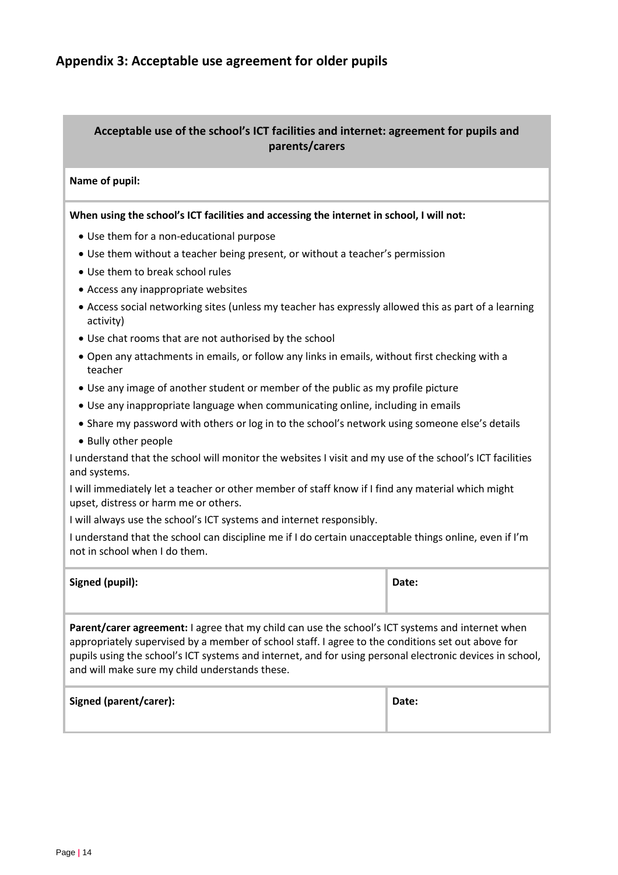# <span id="page-13-0"></span>**Appendix 3: Acceptable use agreement for older pupils**

# **Acceptable use of the school's ICT facilities and internet: agreement for pupils and parents/carers**

#### **Name of pupil:**

#### **When using the school's ICT facilities and accessing the internet in school, I will not:**

- Use them for a non-educational purpose
- Use them without a teacher being present, or without a teacher's permission
- Use them to break school rules
- Access any inappropriate websites
- Access social networking sites (unless my teacher has expressly allowed this as part of a learning activity)
- Use chat rooms that are not authorised by the school
- Open any attachments in emails, or follow any links in emails, without first checking with a teacher
- Use any image of another student or member of the public as my profile picture
- Use any inappropriate language when communicating online, including in emails
- Share my password with others or log in to the school's network using someone else's details
- Bully other people

I understand that the school will monitor the websites I visit and my use of the school's ICT facilities and systems.

I will immediately let a teacher or other member of staff know if I find any material which might upset, distress or harm me or others.

I will always use the school's ICT systems and internet responsibly.

I understand that the school can discipline me if I do certain unacceptable things online, even if I'm not in school when I do them.

| Signed (pupil):                                                                                                                                                                                                                                                                                                                                                            | Date: |  |
|----------------------------------------------------------------------------------------------------------------------------------------------------------------------------------------------------------------------------------------------------------------------------------------------------------------------------------------------------------------------------|-------|--|
| <b>Parent/carer agreement:</b> I agree that my child can use the school's ICT systems and internet when<br>appropriately supervised by a member of school staff. I agree to the conditions set out above for<br>pupils using the school's ICT systems and internet, and for using personal electronic devices in school,<br>and will make sure my child understands these. |       |  |
| Signed (parent/carer):                                                                                                                                                                                                                                                                                                                                                     | Date: |  |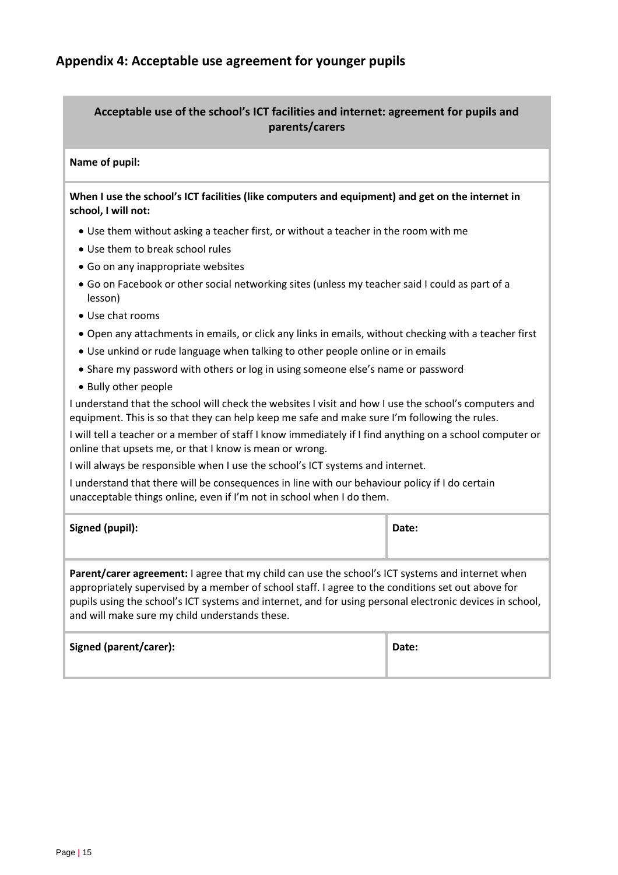# <span id="page-14-0"></span>**Acceptable use of the school's ICT facilities and internet: agreement for pupils and parents/carers**

#### **Name of pupil:**

## **When I use the school's ICT facilities (like computers and equipment) and get on the internet in school, I will not:**

- Use them without asking a teacher first, or without a teacher in the room with me
- Use them to break school rules
- Go on any inappropriate websites
- Go on Facebook or other social networking sites (unless my teacher said I could as part of a lesson)
- Use chat rooms
- Open any attachments in emails, or click any links in emails, without checking with a teacher first
- Use unkind or rude language when talking to other people online or in emails
- Share my password with others or log in using someone else's name or password
- Bully other people

I understand that the school will check the websites I visit and how I use the school's computers and equipment. This is so that they can help keep me safe and make sure I'm following the rules.

I will tell a teacher or a member of staff I know immediately if I find anything on a school computer or online that upsets me, or that I know is mean or wrong.

I will always be responsible when I use the school's ICT systems and internet.

I understand that there will be consequences in line with our behaviour policy if I do certain unacceptable things online, even if I'm not in school when I do them.

| Signed (pupil): | Date: |
|-----------------|-------|
|                 |       |

**Parent/carer agreement:** I agree that my child can use the school's ICT systems and internet when appropriately supervised by a member of school staff. I agree to the conditions set out above for pupils using the school's ICT systems and internet, and for using personal electronic devices in school, and will make sure my child understands these.

| Signed (parent/carer): | Date: |
|------------------------|-------|
|                        |       |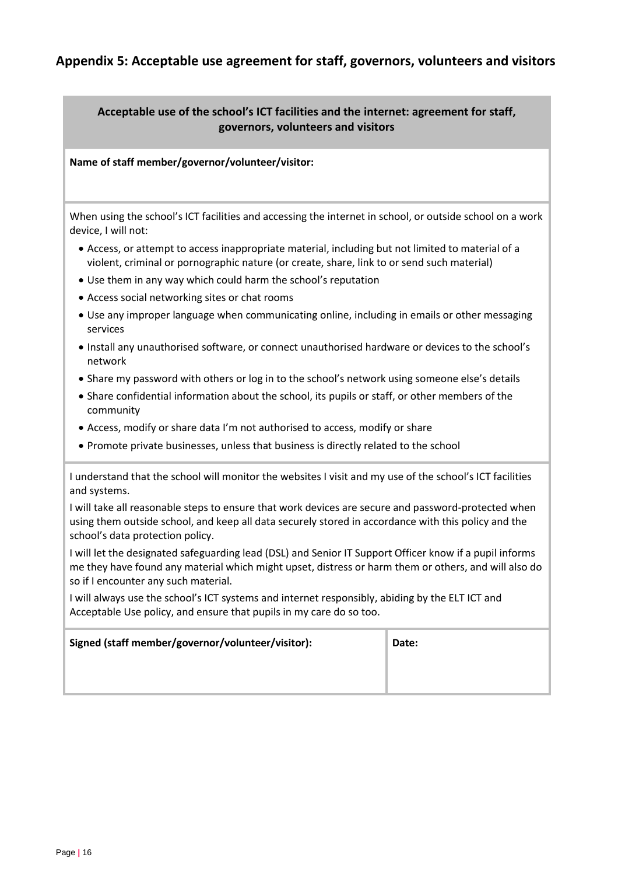# **Appendix 5: Acceptable use agreement for staff, governors, volunteers and visitors**

# <span id="page-15-0"></span>**Acceptable use of the school's ICT facilities and the internet: agreement for staff, governors, volunteers and visitors**

**Name of staff member/governor/volunteer/visitor:** 

When using the school's ICT facilities and accessing the internet in school, or outside school on a work device, I will not:

- Access, or attempt to access inappropriate material, including but not limited to material of a violent, criminal or pornographic nature (or create, share, link to or send such material)
- Use them in any way which could harm the school's reputation
- Access social networking sites or chat rooms
- Use any improper language when communicating online, including in emails or other messaging services
- Install any unauthorised software, or connect unauthorised hardware or devices to the school's network
- Share my password with others or log in to the school's network using someone else's details
- Share confidential information about the school, its pupils or staff, or other members of the community
- Access, modify or share data I'm not authorised to access, modify or share
- Promote private businesses, unless that business is directly related to the school

I understand that the school will monitor the websites I visit and my use of the school's ICT facilities and systems.

I will take all reasonable steps to ensure that work devices are secure and password-protected when using them outside school, and keep all data securely stored in accordance with this policy and the school's data protection policy.

I will let the designated safeguarding lead (DSL) and Senior IT Support Officer know if a pupil informs me they have found any material which might upset, distress or harm them or others, and will also do so if I encounter any such material.

I will always use the school's ICT systems and internet responsibly, abiding by the ELT ICT and Acceptable Use policy, and ensure that pupils in my care do so too.

| Signed (staff member/governor/volunteer/visitor): | Date: |
|---------------------------------------------------|-------|
|                                                   |       |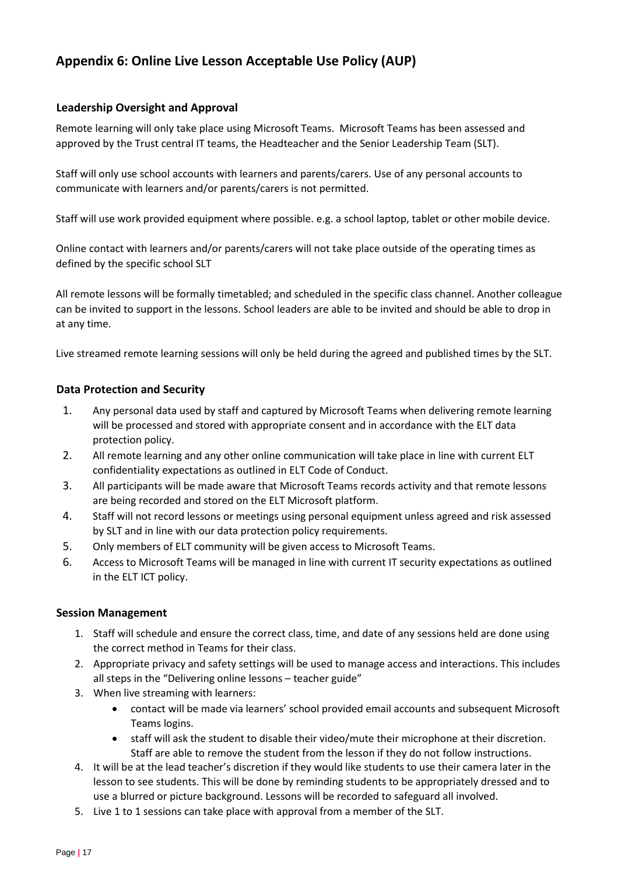# **Appendix 6: Online Live Lesson Acceptable Use Policy (AUP)**

## **Leadership Oversight and Approval**

Remote learning will only take place using Microsoft Teams. Microsoft Teams has been assessed and approved by the Trust central IT teams, the Headteacher and the Senior Leadership Team (SLT).

Staff will only use school accounts with learners and parents/carers. Use of any personal accounts to communicate with learners and/or parents/carers is not permitted.

Staff will use work provided equipment where possible. e.g. a school laptop, tablet or other mobile device.

Online contact with learners and/or parents/carers will not take place outside of the operating times as defined by the specific school SLT

All remote lessons will be formally timetabled; and scheduled in the specific class channel. Another colleague can be invited to support in the lessons. School leaders are able to be invited and should be able to drop in at any time.

Live streamed remote learning sessions will only be held during the agreed and published times by the SLT.

## **Data Protection and Security**

- 1. Any personal data used by staff and captured by Microsoft Teams when delivering remote learning will be processed and stored with appropriate consent and in accordance with the ELT data protection policy.
- 2. All remote learning and any other online communication will take place in line with current ELT confidentiality expectations as outlined in ELT Code of Conduct.
- 3. All participants will be made aware that Microsoft Teams records activity and that remote lessons are being recorded and stored on the ELT Microsoft platform.
- 4. Staff will not record lessons or meetings using personal equipment unless agreed and risk assessed by SLT and in line with our data protection policy requirements.
- 5. Only members of ELT community will be given access to Microsoft Teams.
- 6. Access to Microsoft Teams will be managed in line with current IT security expectations as outlined in the ELT ICT policy.

#### **Session Management**

- 1. Staff will schedule and ensure the correct class, time, and date of any sessions held are done using the correct method in Teams for their class.
- 2. Appropriate privacy and safety settings will be used to manage access and interactions. This includes all steps in the "Delivering online lessons – teacher guide"
- 3. When live streaming with learners:
	- contact will be made via learners' school provided email accounts and subsequent Microsoft Teams logins.
	- staff will ask the student to disable their video/mute their microphone at their discretion. Staff are able to remove the student from the lesson if they do not follow instructions.
- 4. It will be at the lead teacher's discretion if they would like students to use their camera later in the lesson to see students. This will be done by reminding students to be appropriately dressed and to use a blurred or picture background. Lessons will be recorded to safeguard all involved.
- 5. Live 1 to 1 sessions can take place with approval from a member of the SLT.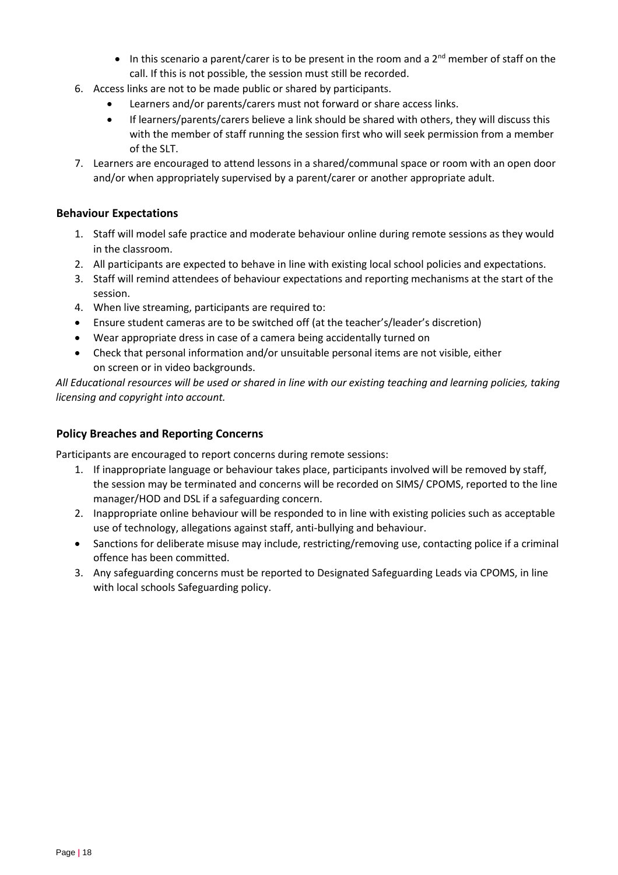- In this scenario a parent/carer is to be present in the room and a  $2^{nd}$  member of staff on the call. If this is not possible, the session must still be recorded.
- 6. Access links are not to be made public or shared by participants.
	- Learners and/or parents/carers must not forward or share access links.
	- If learners/parents/carers believe a link should be shared with others, they will discuss this with the member of staff running the session first who will seek permission from a member of the SLT.
- 7. Learners are encouraged to attend lessons in a shared/communal space or room with an open door and/or when appropriately supervised by a parent/carer or another appropriate adult.

## **Behaviour Expectations**

- 1. Staff will model safe practice and moderate behaviour online during remote sessions as they would in the classroom.
- 2. All participants are expected to behave in line with existing local school policies and expectations.
- 3. Staff will remind attendees of behaviour expectations and reporting mechanisms at the start of the session.
- 4. When live streaming, participants are required to:
- Ensure student cameras are to be switched off (at the teacher's/leader's discretion)
- Wear appropriate dress in case of a camera being accidentally turned on
- Check that personal information and/or unsuitable personal items are not visible, either on screen or in video backgrounds.

*All Educational resources will be used or shared in line with our existing teaching and learning policies, taking licensing and copyright into account.* 

## **Policy Breaches and Reporting Concerns**

Participants are encouraged to report concerns during remote sessions:

- 1. If inappropriate language or behaviour takes place, participants involved will be removed by staff, the session may be terminated and concerns will be recorded on SIMS/ CPOMS, reported to the line manager/HOD and DSL if a safeguarding concern.
- 2. Inappropriate online behaviour will be responded to in line with existing policies such as acceptable use of technology, allegations against staff, anti-bullying and behaviour.
- Sanctions for deliberate misuse may include, restricting/removing use, contacting police if a criminal offence has been committed.
- 3. Any safeguarding concerns must be reported to Designated Safeguarding Leads via CPOMS, in line with local schools Safeguarding policy.